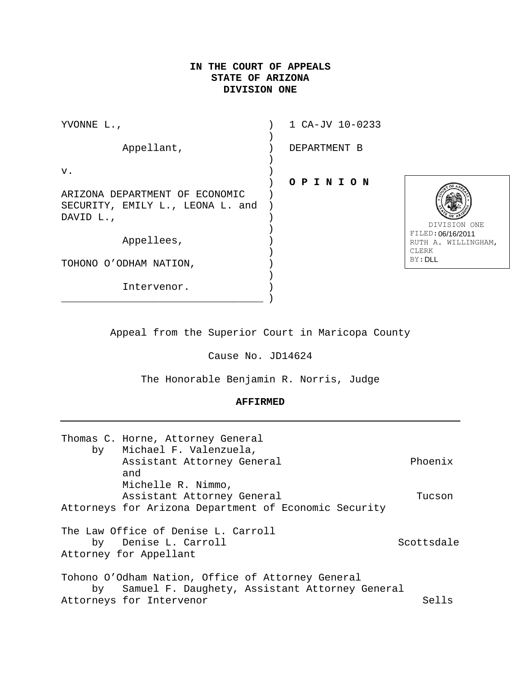# **IN THE COURT OF APPEALS STATE OF ARIZONA DIVISION ONE**

| YVONNE L.,                                                                      | 1 CA-JV 10-0233 |
|---------------------------------------------------------------------------------|-----------------|
| Appellant,                                                                      | DEPARTMENT B    |
| $\mathbf v$ .                                                                   | OPINION         |
| ARIZONA DEPARTMENT OF ECONOMIC<br>SECURITY, EMILY L., LEONA L. and<br>DAVID L., |                 |
| Appellees,                                                                      |                 |
| TOHONO O'ODHAM NATION,                                                          |                 |
| Intervenor.                                                                     |                 |



 DIVISION ONE FILED: 06/16/2011 RUTH A. WILLINGHAM, CLERK BY: DLL

Appeal from the Superior Court in Maricopa County

Cause No. JD14624

The Honorable Benjamin R. Norris, Judge

### **AFFIRMED**

| by | Thomas C. Horne, Attorney General<br>Michael F. Valenzuela, |            |
|----|-------------------------------------------------------------|------------|
|    | Assistant Attorney General<br>and                           | Phoenix    |
|    | Michelle R. Nimmo,                                          |            |
|    | Assistant Attorney General                                  | Tucson     |
|    | Attorneys for Arizona Department of Economic Security       |            |
|    | The Law Office of Denise L. Carroll                         |            |
|    | by Denise L. Carroll                                        | Scottsdale |
|    | Attorney for Appellant                                      |            |
|    | Tohono O'Odham Nation, Office of Attorney General           |            |
|    | by Samuel F. Daughety, Assistant Attorney General           |            |
|    | Attorneys for Intervenor                                    | Sells      |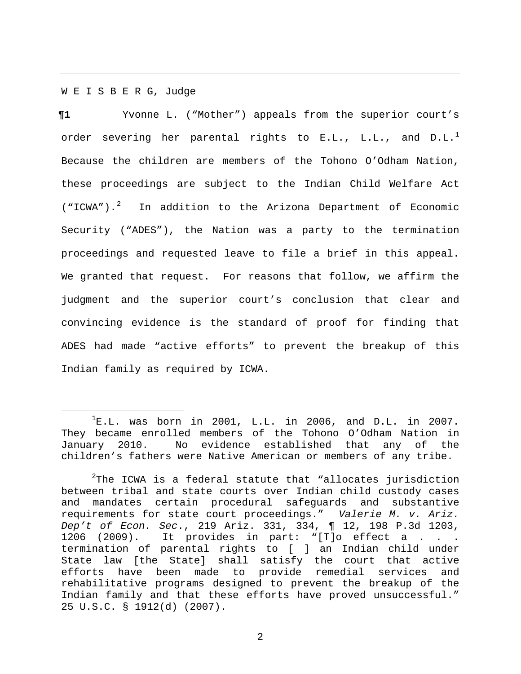#### W E I S B E R G, Judge

**¶1** Yvonne L. ("Mother") appeals from the superior court's order severing her parental rights to E.L., L.L., and D.L. $^1$  $^1$ Because the children are members of the Tohono O'Odham Nation, these proceedings are subject to the Indian Child Welfare Act ("ICWA").<sup>[2](#page-1-1)</sup> In addition to the Arizona Department of Economic Security ("ADES"), the Nation was a party to the termination proceedings and requested leave to file a brief in this appeal. We granted that request. For reasons that follow, we affirm the judgment and the superior court's conclusion that clear and convincing evidence is the standard of proof for finding that ADES had made "active efforts" to prevent the breakup of this Indian family as required by ICWA.

<span id="page-1-0"></span><sup>&</sup>lt;u>1</u>  ${}^{1}E.L.$  was born in 2001, L.L. in 2006, and D.L. in 2007. They became enrolled members of the Tohono O'Odham Nation in<br>January 2010. No evidence established that any of the No evidence established that any of the children's fathers were Native American or members of any tribe.

<span id="page-1-1"></span> $^{2}$ The ICWA is a federal statute that "allocates jurisdiction between tribal and state courts over Indian child custody cases and mandates certain procedural safeguards and substantive requirements for state court proceedings." *Valerie M. v. Ariz. Dep't of Econ. Sec*., 219 Ariz. 331, 334, ¶ 12, 198 P.3d 1203, 1206 (2009). It provides in part: "[T]o effect a . . . termination of parental rights to [ ] an Indian child under State law [the State] shall satisfy the court that active efforts have been made to provide remedial services and rehabilitative programs designed to prevent the breakup of the Indian family and that these efforts have proved unsuccessful." 25 U.S.C. § 1912(d) (2007).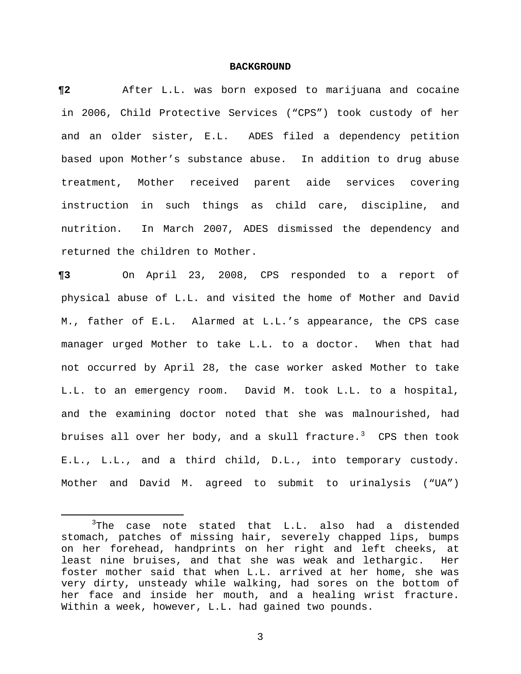#### **BACKGROUND**

**¶2** After L.L. was born exposed to marijuana and cocaine in 2006, Child Protective Services ("CPS") took custody of her and an older sister, E.L. ADES filed a dependency petition based upon Mother's substance abuse. In addition to drug abuse treatment, Mother received parent aide services covering instruction in such things as child care, discipline, and nutrition. In March 2007, ADES dismissed the dependency and returned the children to Mother.

**¶3** On April 23, 2008, CPS responded to a report of physical abuse of L.L. and visited the home of Mother and David M., father of E.L. Alarmed at L.L.'s appearance, the CPS case manager urged Mother to take L.L. to a doctor. When that had not occurred by April 28, the case worker asked Mother to take L.L. to an emergency room. David M. took L.L. to a hospital, and the examining doctor noted that she was malnourished, had bruises all over her body, and a skull fracture. $3$  CPS then took E.L., L.L., and a third child, D.L., into temporary custody. Mother and David M. agreed to submit to urinalysis ("UA")

<span id="page-2-0"></span> $\overline{\phantom{a}}$  $3$ The case note stated that L.L. also had a distended stomach, patches of missing hair, severely chapped lips, bumps on her forehead, handprints on her right and left cheeks, at least nine bruises, and that she was weak and lethargic. Her foster mother said that when L.L. arrived at her home, she was very dirty, unsteady while walking, had sores on the bottom of her face and inside her mouth, and a healing wrist fracture. Within a week, however, L.L. had gained two pounds.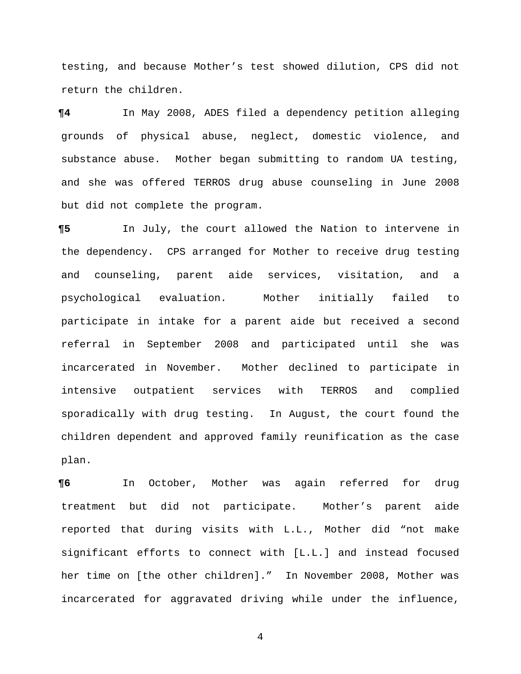testing, and because Mother's test showed dilution, CPS did not return the children.

**¶4** In May 2008, ADES filed a dependency petition alleging grounds of physical abuse, neglect, domestic violence, and substance abuse. Mother began submitting to random UA testing, and she was offered TERROS drug abuse counseling in June 2008 but did not complete the program.

**¶5** In July, the court allowed the Nation to intervene in the dependency. CPS arranged for Mother to receive drug testing and counseling, parent aide services, visitation, and a psychological evaluation. Mother initially failed to participate in intake for a parent aide but received a second referral in September 2008 and participated until she was incarcerated in November. Mother declined to participate in intensive outpatient services with TERROS and complied sporadically with drug testing. In August, the court found the children dependent and approved family reunification as the case plan.

**¶6** In October, Mother was again referred for drug treatment but did not participate. Mother's parent aide reported that during visits with L.L., Mother did "not make significant efforts to connect with [L.L.] and instead focused her time on [the other children]." In November 2008, Mother was incarcerated for aggravated driving while under the influence,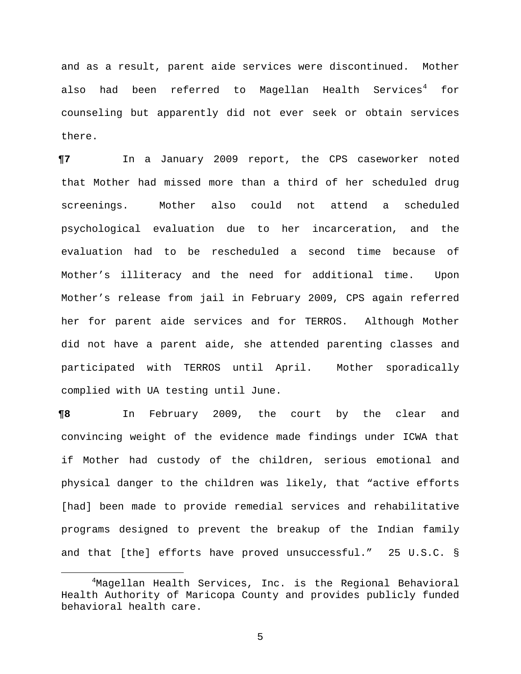and as a result, parent aide services were discontinued. Mother also had been referred to Magellan Health Services<sup>[4](#page-4-0)</sup> for counseling but apparently did not ever seek or obtain services there.

**¶7** In a January 2009 report, the CPS caseworker noted that Mother had missed more than a third of her scheduled drug screenings. Mother also could not attend a scheduled psychological evaluation due to her incarceration, and the evaluation had to be rescheduled a second time because of Mother's illiteracy and the need for additional time. Upon Mother's release from jail in February 2009, CPS again referred her for parent aide services and for TERROS. Although Mother did not have a parent aide, she attended parenting classes and participated with TERROS until April. Mother sporadically complied with UA testing until June.

**¶8** In February 2009, the court by the clear and convincing weight of the evidence made findings under ICWA that if Mother had custody of the children, serious emotional and physical danger to the children was likely, that "active efforts [had] been made to provide remedial services and rehabilitative programs designed to prevent the breakup of the Indian family and that [the] efforts have proved unsuccessful." 25 U.S.C. §

<span id="page-4-0"></span> <sup>4</sup>  $4$ Magellan Health Services, Inc. is the Regional Behavioral Health Authority of Maricopa County and provides publicly funded behavioral health care.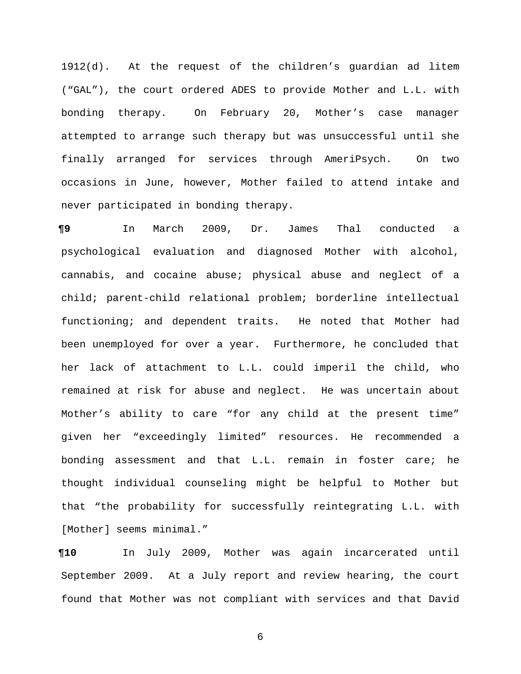1912(d). At the request of the children's guardian ad litem ("GAL"), the court ordered ADES to provide Mother and L.L. with bonding therapy. On February 20, Mother's case manager attempted to arrange such therapy but was unsuccessful until she finally arranged for services through AmeriPsych. On two occasions in June, however, Mother failed to attend intake and never participated in bonding therapy.

**¶9** In March 2009, Dr. James Thal conducted a psychological evaluation and diagnosed Mother with alcohol, cannabis, and cocaine abuse; physical abuse and neglect of a child; parent-child relational problem; borderline intellectual functioning; and dependent traits. He noted that Mother had been unemployed for over a year. Furthermore, he concluded that her lack of attachment to L.L. could imperil the child, who remained at risk for abuse and neglect. He was uncertain about Mother's ability to care "for any child at the present time" given her "exceedingly limited" resources. He recommended a bonding assessment and that L.L. remain in foster care; he thought individual counseling might be helpful to Mother but that "the probability for successfully reintegrating L.L. with [Mother] seems minimal."

**¶10** In July 2009, Mother was again incarcerated until September 2009. At a July report and review hearing, the court found that Mother was not compliant with services and that David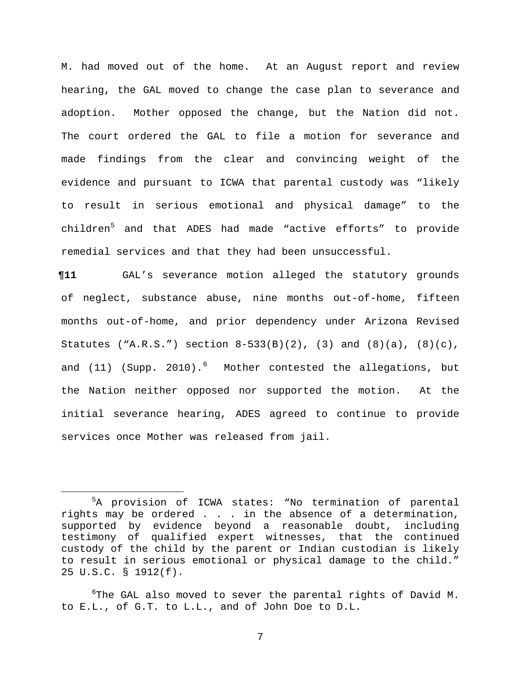M. had moved out of the home. At an August report and review hearing, the GAL moved to change the case plan to severance and adoption. Mother opposed the change, but the Nation did not. The court ordered the GAL to file a motion for severance and made findings from the clear and convincing weight of the evidence and pursuant to ICWA that parental custody was "likely to result in serious emotional and physical damage" to the children<sup>[5](#page-6-0)</sup> and that ADES had made "active efforts" to provide remedial services and that they had been unsuccessful.

**¶11** GAL's severance motion alleged the statutory grounds of neglect, substance abuse, nine months out-of-home, fifteen months out-of-home, and prior dependency under Arizona Revised Statutes ("A.R.S.") section  $8-533(B)(2)$ , (3) and  $(8)(a)$ ,  $(8)(c)$ , and (11) (Supp. 2010).<sup>[6](#page-6-1)</sup> Mother contested the allegations, but the Nation neither opposed nor supported the motion. At the initial severance hearing, ADES agreed to continue to provide services once Mother was released from jail.

<span id="page-6-0"></span> $\frac{1}{5}$ <sup>5</sup>A provision of ICWA states: "No termination of parental rights may be ordered . . . in the absence of a determination, supported by evidence beyond a reasonable doubt, including testimony of qualified expert witnesses, that the continued custody of the child by the parent or Indian custodian is likely to result in serious emotional or physical damage to the child." 25 U.S.C. § 1912(f).

<span id="page-6-1"></span> $6$ The GAL also moved to sever the parental rights of David M. to E.L., of G.T. to L.L., and of John Doe to D.L.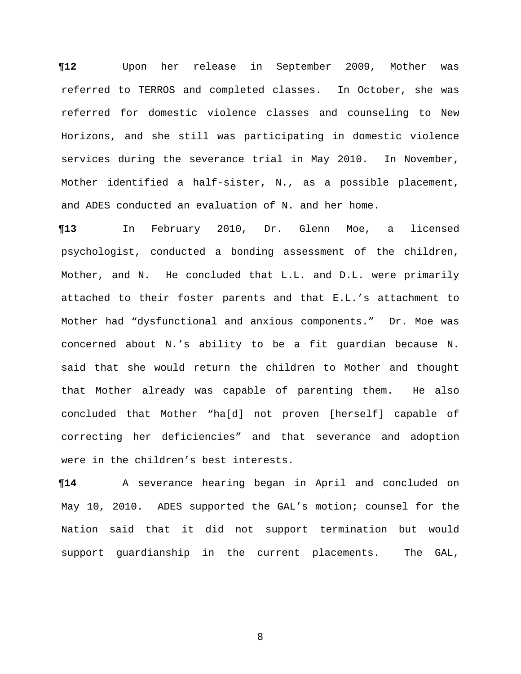**¶12** Upon her release in September 2009, Mother was referred to TERROS and completed classes. In October, she was referred for domestic violence classes and counseling to New Horizons, and she still was participating in domestic violence services during the severance trial in May 2010. In November, Mother identified a half-sister, N., as a possible placement, and ADES conducted an evaluation of N. and her home.

**¶13** In February 2010, Dr. Glenn Moe, a licensed psychologist, conducted a bonding assessment of the children, Mother, and N. He concluded that L.L. and D.L. were primarily attached to their foster parents and that E.L.'s attachment to Mother had "dysfunctional and anxious components." Dr. Moe was concerned about N.'s ability to be a fit guardian because N. said that she would return the children to Mother and thought that Mother already was capable of parenting them. He also concluded that Mother "ha[d] not proven [herself] capable of correcting her deficiencies" and that severance and adoption were in the children's best interests.

**¶14** A severance hearing began in April and concluded on May 10, 2010. ADES supported the GAL's motion; counsel for the Nation said that it did not support termination but would support guardianship in the current placements. The GAL,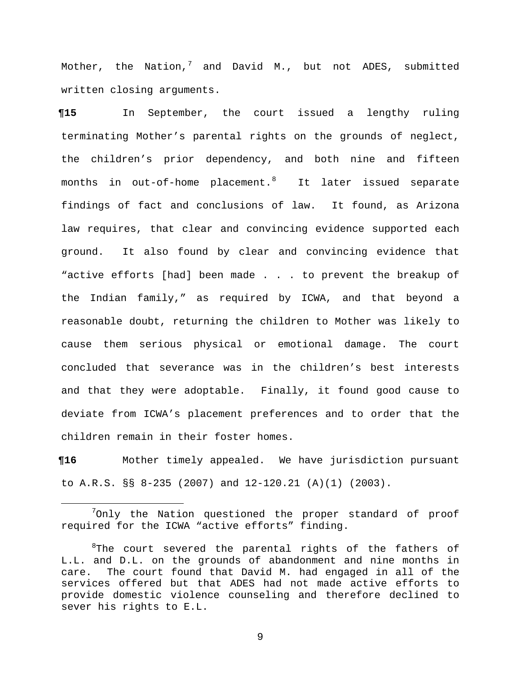Mother, the Nation,  $\frac{1}{2}$  and David M., but not ADES, submitted written closing arguments.

**¶15** In September, the court issued a lengthy ruling terminating Mother's parental rights on the grounds of neglect, the children's prior dependency, and both nine and fifteen months in out-of-home placement. [8](#page-8-1) It later issued separate findings of fact and conclusions of law. It found, as Arizona law requires, that clear and convincing evidence supported each ground. It also found by clear and convincing evidence that "active efforts [had] been made . . . to prevent the breakup of the Indian family," as required by ICWA, and that beyond a reasonable doubt, returning the children to Mother was likely to cause them serious physical or emotional damage. The court concluded that severance was in the children's best interests and that they were adoptable. Finally, it found good cause to deviate from ICWA's placement preferences and to order that the children remain in their foster homes.

**¶16** Mother timely appealed. We have jurisdiction pursuant to A.R.S. §§ 8-235 (2007) and 12-120.21 (A)(1) (2003).

<span id="page-8-0"></span> 7  $7$ Only the Nation questioned the proper standard of proof required for the ICWA "active efforts" finding.

<span id="page-8-1"></span> ${}^{8}$ The court severed the parental rights of the fathers of L.L. and D.L. on the grounds of abandonment and nine months in care. The court found that David M. had engaged in all of the services offered but that ADES had not made active efforts to provide domestic violence counseling and therefore declined to sever his rights to E.L.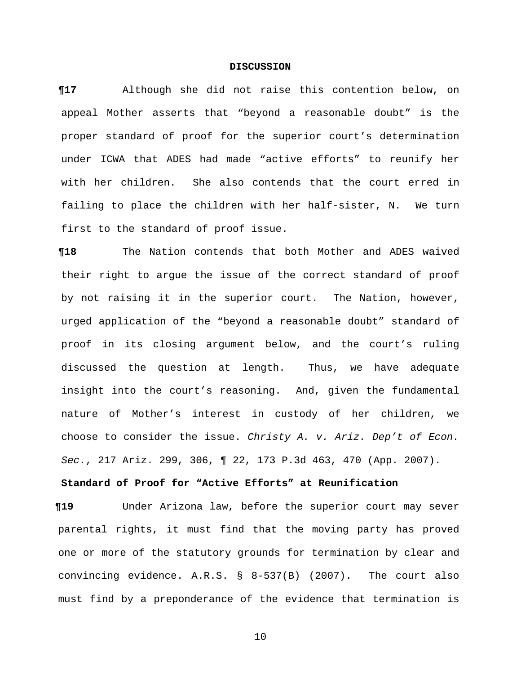#### **DISCUSSION**

**¶17** Although she did not raise this contention below, on appeal Mother asserts that "beyond a reasonable doubt" is the proper standard of proof for the superior court's determination under ICWA that ADES had made "active efforts" to reunify her with her children. She also contends that the court erred in failing to place the children with her half-sister, N. We turn first to the standard of proof issue.

**¶18** The Nation contends that both Mother and ADES waived their right to argue the issue of the correct standard of proof by not raising it in the superior court. The Nation, however, urged application of the "beyond a reasonable doubt" standard of proof in its closing argument below, and the court's ruling discussed the question at length. Thus, we have adequate insight into the court's reasoning. And, given the fundamental nature of Mother's interest in custody of her children, we choose to consider the issue. *Christy A. v. Ariz. Dep't of Econ. Sec.*, 217 Ariz. 299, 306, ¶ 22, 173 P.3d 463, 470 (App. 2007).

## **Standard of Proof for "Active Efforts" at Reunification**

**¶19** Under Arizona law, before the superior court may sever parental rights, it must find that the moving party has proved one or more of the statutory grounds for termination by clear and convincing evidence. A.R.S. § 8-537(B) (2007). The court also must find by a preponderance of the evidence that termination is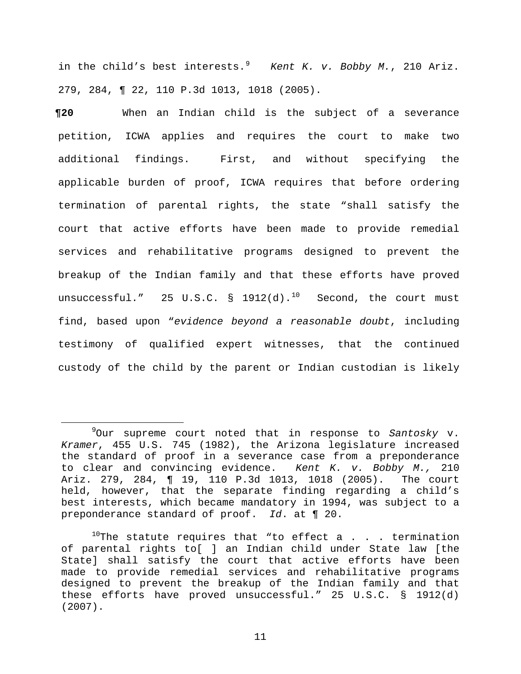in the child's best interests.[9](#page-10-0) *Kent K. v. Bobby M.*, 210 Ariz. 279, 284, ¶ 22, 110 P.3d 1013, 1018 (2005).

**¶20** When an Indian child is the subject of a severance petition, ICWA applies and requires the court to make two additional findings. First, and without specifying the applicable burden of proof, ICWA requires that before ordering termination of parental rights, the state "shall satisfy the court that active efforts have been made to provide remedial services and rehabilitative programs designed to prevent the breakup of the Indian family and that these efforts have proved unsuccessful."  $25$  U.S.C.  $\frac{1912}{d}$ .<sup>[10](#page-10-1)</sup> Second, the court must find, based upon "*evidence beyond a reasonable doubt*, including testimony of qualified expert witnesses, that the continued custody of the child by the parent or Indian custodian is likely

<span id="page-10-0"></span> <sup>9</sup> Our supreme court noted that in response to *Santosky* v. *Kramer*, 455 U.S. 745 (1982), the Arizona legislature increased the standard of proof in a severance case from a preponderance to clear and convincing evidence. *Kent K. v. Bobby M.,* 210 Ariz. 279, 284, ¶ 19, 110 P.3d 1013, 1018 (2005). The court held, however, that the separate finding regarding a child's best interests, which became mandatory in 1994, was subject to a preponderance standard of proof. *Id*. at ¶ 20.

<span id="page-10-1"></span> $10$ The statute requires that "to effect a . . . termination of parental rights to[ ] an Indian child under State law [the State] shall satisfy the court that active efforts have been made to provide remedial services and rehabilitative programs designed to prevent the breakup of the Indian family and that these efforts have proved unsuccessful." 25 U.S.C. § 1912(d) (2007).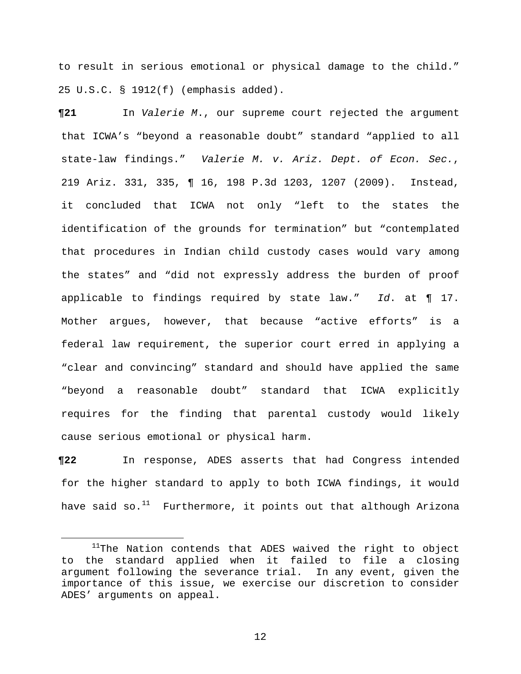to result in serious emotional or physical damage to the child." 25 U.S.C. § 1912(f) (emphasis added).

**¶21** In *Valerie M*., our supreme court rejected the argument that ICWA's "beyond a reasonable doubt" standard "applied to all state-law findings." *Valerie M. v. Ariz. Dept. of Econ. Sec.*, 219 Ariz. 331, 335, ¶ 16, 198 P.3d 1203, 1207 (2009). Instead, it concluded that ICWA not only "left to the states the identification of the grounds for termination" but "contemplated that procedures in Indian child custody cases would vary among the states" and "did not expressly address the burden of proof applicable to findings required by state law." *Id*. at ¶ 17. Mother argues, however, that because "active efforts" is a federal law requirement, the superior court erred in applying a "clear and convincing" standard and should have applied the same "beyond a reasonable doubt" standard that ICWA explicitly requires for the finding that parental custody would likely cause serious emotional or physical harm.

**¶22** In response, ADES asserts that had Congress intended for the higher standard to apply to both ICWA findings, it would have said so. $^{11}$  $^{11}$  $^{11}$  Furthermore, it points out that although Arizona

<span id="page-11-0"></span> $11$ The Nation contends that ADES waived the right to object to the standard applied when it failed to file a closing argument following the severance trial. In any event, given the importance of this issue, we exercise our discretion to consider ADES' arguments on appeal.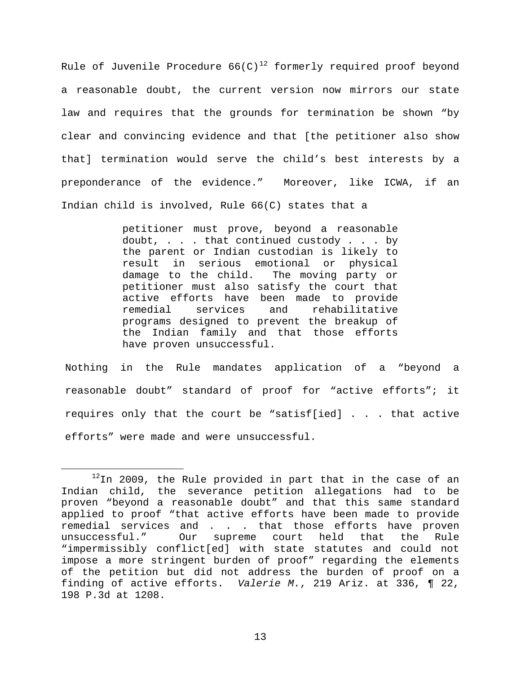Rule of Juvenile Procedure 66(C) $^{12}$  $^{12}$  $^{12}$  formerly required proof beyond a reasonable doubt, the current version now mirrors our state law and requires that the grounds for termination be shown "by clear and convincing evidence and that [the petitioner also show that] termination would serve the child's best interests by a preponderance of the evidence." Moreover, like ICWA, if an Indian child is involved, Rule 66(C) states that a

> petitioner must prove, beyond a reasonable doubt, . . . that continued custody . . . by the parent or Indian custodian is likely to result in serious emotional or physical<br>damage to the child. The moving party or damage to the child. petitioner must also satisfy the court that active efforts have been made to provide<br>remedial services and rehabilitative rehabilitative programs designed to prevent the breakup of the Indian family and that those efforts have proven unsuccessful.

Nothing in the Rule mandates application of a "beyond a reasonable doubt" standard of proof for "active efforts"; it requires only that the court be "satisf[ied] . . . that active efforts" were made and were unsuccessful.

<span id="page-12-0"></span> $12$ In 2009, the Rule provided in part that in the case of an Indian child, the severance petition allegations had to be proven "beyond a reasonable doubt" and that this same standard applied to proof "that active efforts have been made to provide remedial services and . . . that those efforts have proven<br>unsuccessful." Our supreme court held that the Rule Our supreme court held that "impermissibly conflict[ed] with state statutes and could not impose a more stringent burden of proof" regarding the elements of the petition but did not address the burden of proof on a finding of active efforts. *Valerie M.*, 219 Ariz. at 336, ¶ 22, 198 P.3d at 1208.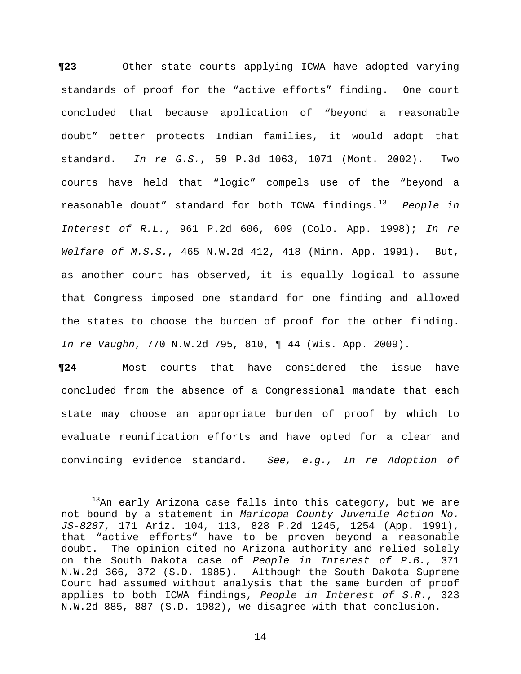**¶23** Other state courts applying ICWA have adopted varying standards of proof for the "active efforts" finding. One court concluded that because application of "beyond a reasonable doubt" better protects Indian families, it would adopt that standard. *In re G.S.*, 59 P.3d 1063, 1071 (Mont. 2002). Two courts have held that "logic" compels use of the "beyond a reasonable doubt" standard for both ICWA findings.[13](#page-13-0) *People in Interest of R.L.*, 961 P.2d 606, 609 (Colo. App. 1998); *In re Welfare of M.S.S.*, 465 N.W.2d 412, 418 (Minn. App. 1991). But, as another court has observed, it is equally logical to assume that Congress imposed one standard for one finding and allowed the states to choose the burden of proof for the other finding. *In re Vaughn*, 770 N.W.2d 795, 810, ¶ 44 (Wis. App. 2009).

**¶24** Most courts that have considered the issue have concluded from the absence of a Congressional mandate that each state may choose an appropriate burden of proof by which to evaluate reunification efforts and have opted for a clear and convincing evidence standard. *See, e.g., In re Adoption of* 

<span id="page-13-0"></span> $13$ An early Arizona case falls into this category, but we are not bound by a statement in *Maricopa County Juvenile Action No. JS-8287*, 171 Ariz. 104, 113, 828 P.2d 1245, 1254 (App. 1991), that "active efforts" have to be proven beyond a reasonable doubt. The opinion cited no Arizona authority and relied solely on the South Dakota case of *People in Interest of P.B.*, 371 N.W.2d 366, 372 (S.D. 1985). Although the South Dakota Supreme Court had assumed without analysis that the same burden of proof applies to both ICWA findings, *People in Interest of S.R.*, 323 N.W.2d 885, 887 (S.D. 1982), we disagree with that conclusion.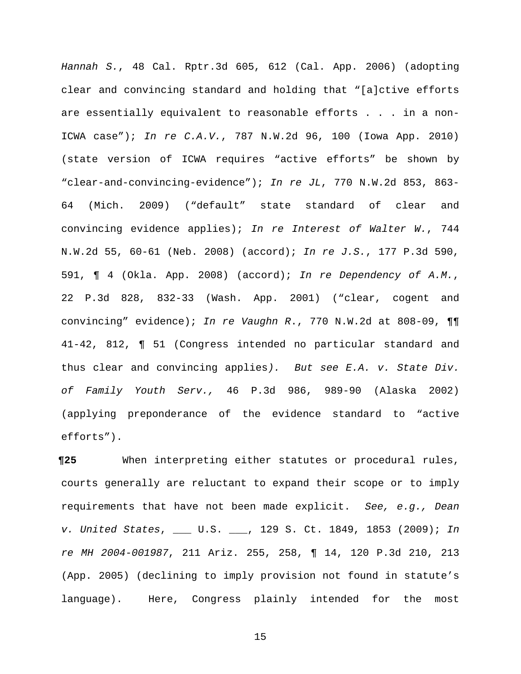*Hannah S.*, 48 Cal. Rptr.3d 605, 612 (Cal. App. 2006) (adopting clear and convincing standard and holding that "[a]ctive efforts are essentially equivalent to reasonable efforts . . . in a non-ICWA case"); *In re C.A.V.*, 787 N.W.2d 96, 100 (Iowa App. 2010) (state version of ICWA requires "active efforts" be shown by "clear-and-convincing-evidence"); *In re JL*, 770 N.W.2d 853, 863- 64 (Mich. 2009) ("default" state standard of clear and convincing evidence applies); *In re Interest of Walter W.*, 744 N.W.2d 55, 60-61 (Neb. 2008) (accord); *In re J.S.*, 177 P.3d 590, 591, ¶ 4 (Okla. App. 2008) (accord); *In re Dependency of A.M.*, 22 P.3d 828, 832-33 (Wash. App. 2001) ("clear, cogent and convincing" evidence); *In re Vaughn R*., 770 N.W.2d at 808-09, ¶¶ 41-42, 812, ¶ 51 (Congress intended no particular standard and thus clear and convincing applies*). But see E.A. v. State Div. of Family Youth Serv.,* 46 P.3d 986, 989-90 (Alaska 2002) (applying preponderance of the evidence standard to "active efforts").

**¶25** When interpreting either statutes or procedural rules, courts generally are reluctant to expand their scope or to imply requirements that have not been made explicit. *See, e.g., Dean v. United States*, \_\_\_ U.S. \_\_\_, 129 S. Ct. 1849, 1853 (2009); *In re MH 2004-001987*, 211 Ariz. 255, 258, ¶ 14, 120 P.3d 210, 213 (App. 2005) (declining to imply provision not found in statute's language). Here, Congress plainly intended for the most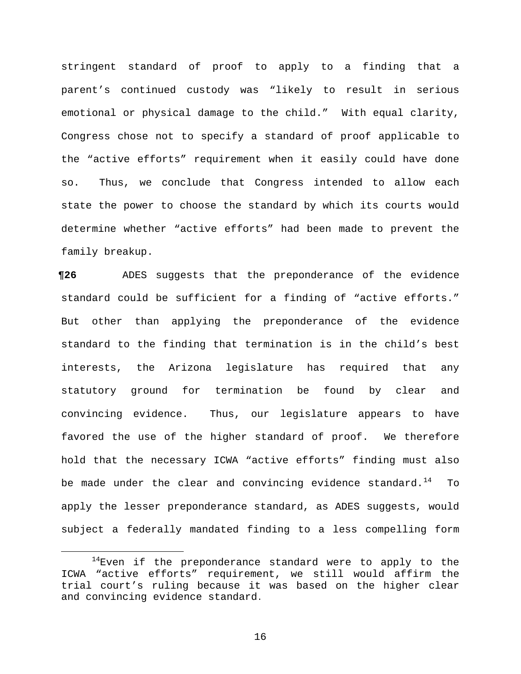stringent standard of proof to apply to a finding that a parent's continued custody was "likely to result in serious emotional or physical damage to the child." With equal clarity, Congress chose not to specify a standard of proof applicable to the "active efforts" requirement when it easily could have done so. Thus, we conclude that Congress intended to allow each state the power to choose the standard by which its courts would determine whether "active efforts" had been made to prevent the family breakup.

**¶26** ADES suggests that the preponderance of the evidence standard could be sufficient for a finding of "active efforts." But other than applying the preponderance of the evidence standard to the finding that termination is in the child's best interests, the Arizona legislature has required that any statutory ground for termination be found by clear and convincing evidence. Thus, our legislature appears to have favored the use of the higher standard of proof. We therefore hold that the necessary ICWA "active efforts" finding must also be made under the clear and convincing evidence standard.<sup>[14](#page-15-0)</sup> To apply the lesser preponderance standard, as ADES suggests, would subject a federally mandated finding to a less compelling form

<span id="page-15-0"></span> $14$ Even if the preponderance standard were to apply to the ICWA "active efforts" requirement, we still would affirm the trial court's ruling because it was based on the higher clear and convincing evidence standard.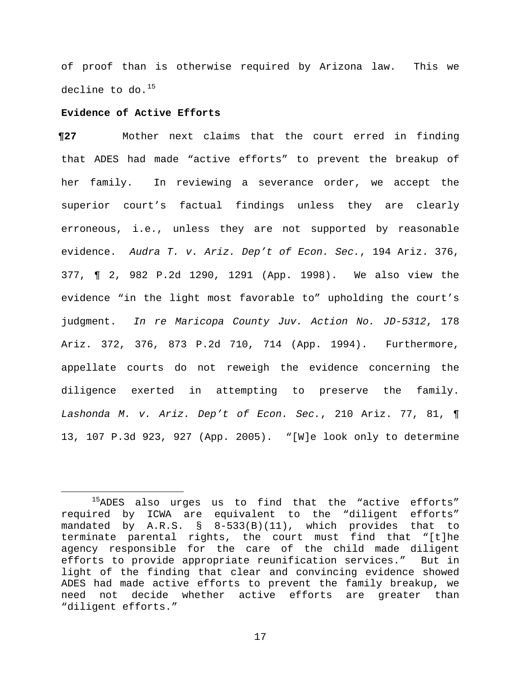of proof than is otherwise required by Arizona law. This we decline to do. $^{15}$  $^{15}$  $^{15}$ 

### **Evidence of Active Efforts**

**¶27** Mother next claims that the court erred in finding that ADES had made "active efforts" to prevent the breakup of her family. In reviewing a severance order, we accept the superior court's factual findings unless they are clearly erroneous, i.e., unless they are not supported by reasonable evidence. *Audra T. v. Ariz. Dep't of Econ. Sec.*, 194 Ariz. 376, 377, ¶ 2, 982 P.2d 1290, 1291 (App. 1998). We also view the evidence "in the light most favorable to" upholding the court's judgment. *In re Maricopa County Juv. Action No. JD-5312*, 178 Ariz. 372, 376, 873 P.2d 710, 714 (App. 1994). Furthermore, appellate courts do not reweigh the evidence concerning the diligence exerted in attempting to preserve the family. *Lashonda M. v. Ariz. Dep't of Econ. Sec.*, 210 Ariz. 77, 81, ¶ 13, 107 P.3d 923, 927 (App. 2005). "[W]e look only to determine

<span id="page-16-0"></span> $15$ ADES also urges us to find that the "active efforts" required by ICWA are equivalent to the "diligent efforts" mandated by A.R.S. § 8-533(B)(11), which provides that to terminate parental rights, the court must find that "[t]he agency responsible for the care of the child made diligent efforts to provide appropriate reunification services." But in light of the finding that clear and convincing evidence showed ADES had made active efforts to prevent the family breakup, we need not decide whether active efforts are greater than "diligent efforts."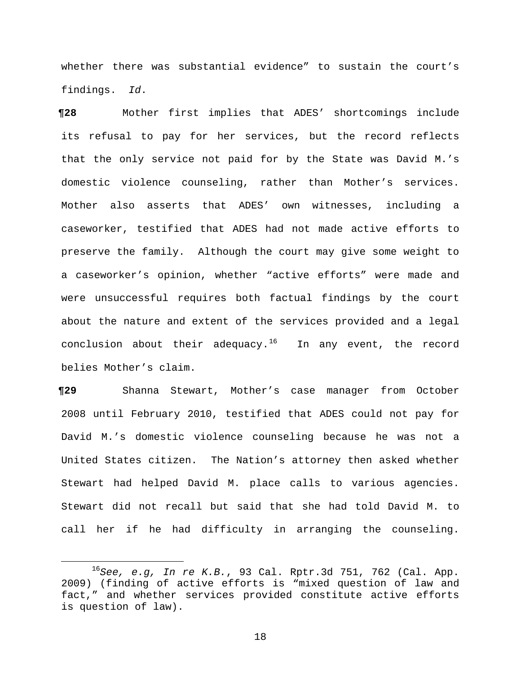whether there was substantial evidence" to sustain the court's findings. *Id*.

**¶28** Mother first implies that ADES' shortcomings include its refusal to pay for her services, but the record reflects that the only service not paid for by the State was David M.'s domestic violence counseling, rather than Mother's services. Mother also asserts that ADES' own witnesses, including a caseworker, testified that ADES had not made active efforts to preserve the family. Although the court may give some weight to a caseworker's opinion, whether "active efforts" were made and were unsuccessful requires both factual findings by the court about the nature and extent of the services provided and a legal conclusion about their adequacy.<sup>[16](#page-17-0)</sup> In any event, the record belies Mother's claim.

**¶29** Shanna Stewart, Mother's case manager from October 2008 until February 2010, testified that ADES could not pay for David M.'s domestic violence counseling because he was not a United States citizen. The Nation's attorney then asked whether Stewart had helped David M. place calls to various agencies. Stewart did not recall but said that she had told David M. to call her if he had difficulty in arranging the counseling.

<span id="page-17-0"></span> <sup>16</sup>*See, e.g, In re K.B.*, 93 Cal. Rptr.3d 751, 762 (Cal. App. 2009) (finding of active efforts is "mixed question of law and fact," and whether services provided constitute active efforts is question of law).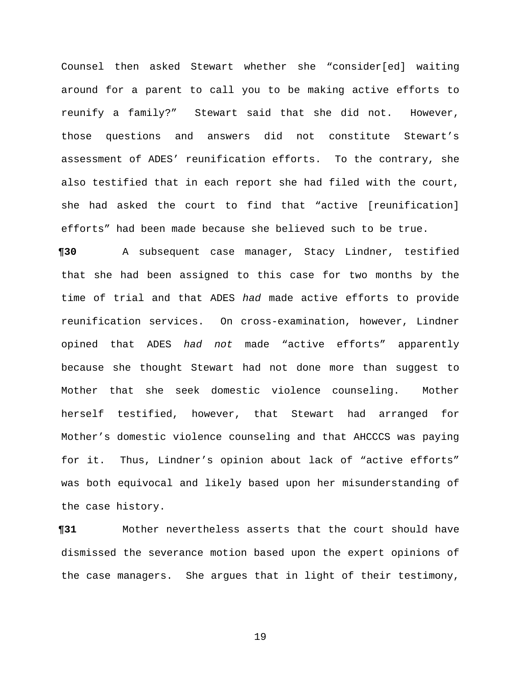Counsel then asked Stewart whether she "consider[ed] waiting around for a parent to call you to be making active efforts to reunify a family?" Stewart said that she did not. However, those questions and answers did not constitute Stewart's assessment of ADES' reunification efforts. To the contrary, she also testified that in each report she had filed with the court, she had asked the court to find that "active [reunification] efforts" had been made because she believed such to be true.

**¶30** A subsequent case manager, Stacy Lindner, testified that she had been assigned to this case for two months by the time of trial and that ADES *had* made active efforts to provide reunification services. On cross-examination, however, Lindner opined that ADES *had not* made "active efforts" apparently because she thought Stewart had not done more than suggest to Mother that she seek domestic violence counseling. Mother herself testified, however, that Stewart had arranged for Mother's domestic violence counseling and that AHCCCS was paying for it. Thus, Lindner's opinion about lack of "active efforts" was both equivocal and likely based upon her misunderstanding of the case history.

**¶31** Mother nevertheless asserts that the court should have dismissed the severance motion based upon the expert opinions of the case managers. She argues that in light of their testimony,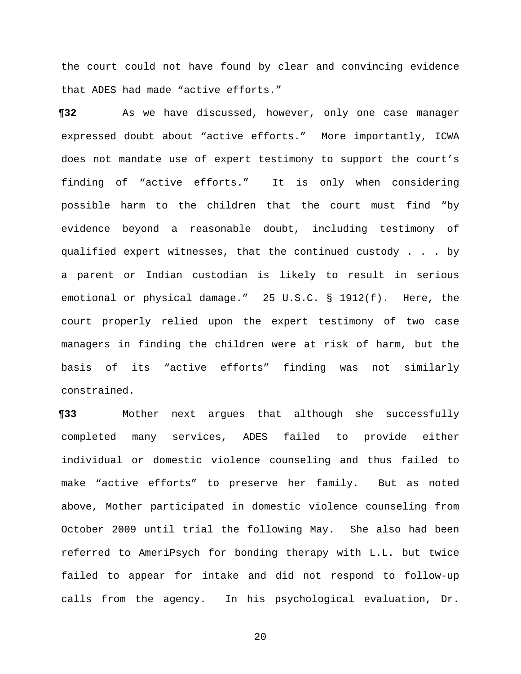the court could not have found by clear and convincing evidence that ADES had made "active efforts."

**¶32** As we have discussed, however, only one case manager expressed doubt about "active efforts." More importantly, ICWA does not mandate use of expert testimony to support the court's finding of "active efforts." It is only when considering possible harm to the children that the court must find "by evidence beyond a reasonable doubt, including testimony of qualified expert witnesses, that the continued custody . . . by a parent or Indian custodian is likely to result in serious emotional or physical damage." 25 U.S.C. § 1912(f). Here, the court properly relied upon the expert testimony of two case managers in finding the children were at risk of harm, but the basis of its "active efforts" finding was not similarly constrained.

**¶33** Mother next argues that although she successfully completed many services, ADES failed to provide either individual or domestic violence counseling and thus failed to make "active efforts" to preserve her family. But as noted above, Mother participated in domestic violence counseling from October 2009 until trial the following May. She also had been referred to AmeriPsych for bonding therapy with L.L. but twice failed to appear for intake and did not respond to follow-up calls from the agency. In his psychological evaluation, Dr.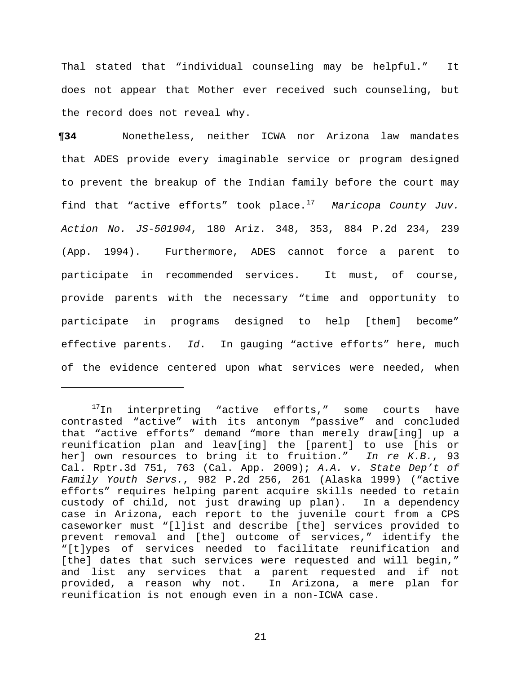Thal stated that "individual counseling may be helpful." It does not appear that Mother ever received such counseling, but the record does not reveal why.

**¶34** Nonetheless, neither ICWA nor Arizona law mandates that ADES provide every imaginable service or program designed to prevent the breakup of the Indian family before the court may find that "active efforts" took place.[17](#page-20-0) *Maricopa County Juv. Action No. JS-501904*, 180 Ariz. 348, 353, 884 P.2d 234, 239 (App. 1994). Furthermore, ADES cannot force a parent to participate in recommended services. It must, of course, provide parents with the necessary "time and opportunity to participate in programs designed to help [them] become" effective parents. *Id*. In gauging "active efforts" here, much of the evidence centered upon what services were needed, when

Ĩ.

<span id="page-20-0"></span><sup>&</sup>lt;sup>17</sup>In interpreting "active efforts," some courts have contrasted "active" with its antonym "passive" and concluded that "active efforts" demand "more than merely draw[ing] up a reunification plan and leav[ing] the [parent] to use [his or her] own resources to bring it to fruition." *In re K.B.*, 93 Cal. Rptr.3d 751, 763 (Cal. App. 2009); *A.A. v. State Dep't of Family Youth Servs.*, 982 P.2d 256, 261 (Alaska 1999) ("active efforts" requires helping parent acquire skills needed to retain custody of child, not just drawing up plan). In a dependency case in Arizona, each report to the juvenile court from a CPS caseworker must "[l]ist and describe [the] services provided to prevent removal and [the] outcome of services," identify the "[t]ypes of services needed to facilitate reunification and [the] dates that such services were requested and will begin," and list any services that a parent requested and if not<br>provided, a reason why not. In Arizona, a mere plan for provided, a reason why not. reunification is not enough even in a non-ICWA case.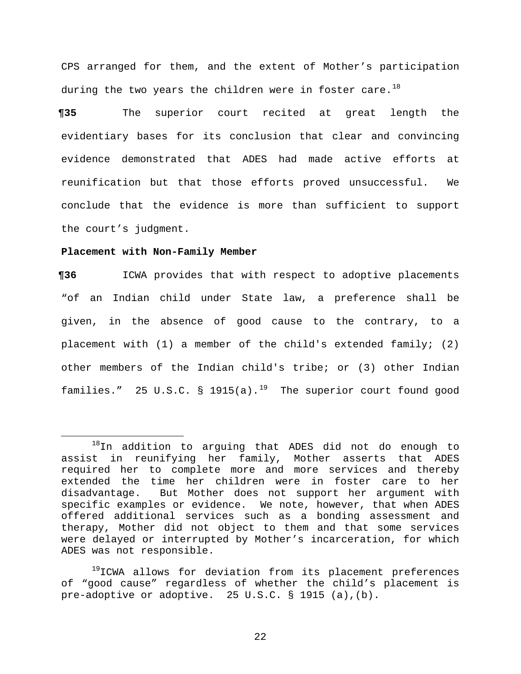CPS arranged for them, and the extent of Mother's participation during the two years the children were in foster care. $^{18}$  $^{18}$  $^{18}$ 

**¶35** The superior court recited at great length the evidentiary bases for its conclusion that clear and convincing evidence demonstrated that ADES had made active efforts at reunification but that those efforts proved unsuccessful. We conclude that the evidence is more than sufficient to support the court's judgment.

### **Placement with Non-Family Member**

**¶36** ICWA provides that with respect to adoptive placements "of an Indian child under State law, a preference shall be given, in the absence of good cause to the contrary, to a placement with (1) a member of the child's extended family; (2) other members of the Indian child's tribe; or (3) other Indian families." 25 U.S.C.  $\S$  [19](#page-21-1)15(a).<sup>19</sup> The superior court found good

<span id="page-21-1"></span><sup>19</sup>ICWA allows for deviation from its placement preferences of "good cause" regardless of whether the child's placement is pre-adoptive or adoptive. 25 U.S.C. § 1915 (a),(b).

<span id="page-21-0"></span><sup>18</sup>In addition to arguing that ADES did not do enough to assist in reunifying her family, Mother asserts that ADES required her to complete more and more services and thereby extended the time her children were in foster care to her<br>disadvantage. But Mother does not support her argument with But Mother does not support her argument with specific examples or evidence. We note, however, that when ADES offered additional services such as a bonding assessment and therapy, Mother did not object to them and that some services were delayed or interrupted by Mother's incarceration, for which ADES was not responsible.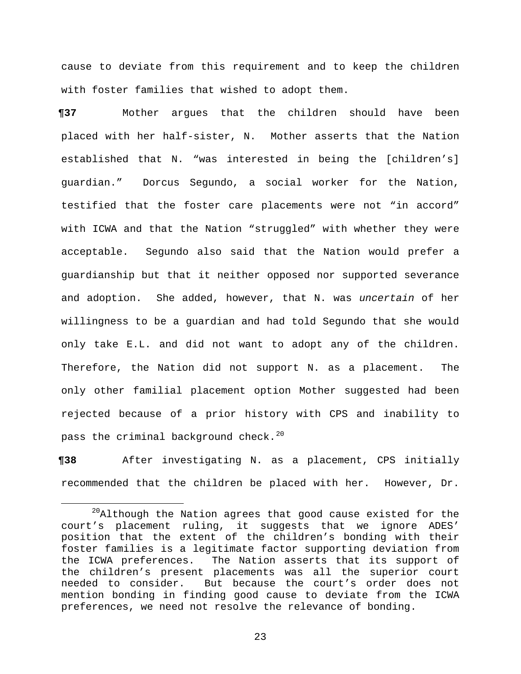cause to deviate from this requirement and to keep the children with foster families that wished to adopt them.

**¶37** Mother argues that the children should have been placed with her half-sister, N. Mother asserts that the Nation established that N. "was interested in being the [children's] guardian." Dorcus Segundo, a social worker for the Nation, testified that the foster care placements were not "in accord" with ICWA and that the Nation "struggled" with whether they were acceptable. Segundo also said that the Nation would prefer a guardianship but that it neither opposed nor supported severance and adoption. She added, however, that N. was *uncertain* of her willingness to be a guardian and had told Segundo that she would only take E.L. and did not want to adopt any of the children. Therefore, the Nation did not support N. as a placement. The only other familial placement option Mother suggested had been rejected because of a prior history with CPS and inability to pass the criminal background check. $^{20}$  $^{20}$  $^{20}$ 

**¶38** After investigating N. as a placement, CPS initially recommended that the children be placed with her. However, Dr.

<span id="page-22-0"></span> $^{20}$ Although the Nation agrees that good cause existed for the court's placement ruling, it suggests that we ignore ADES' position that the extent of the children's bonding with their foster families is a legitimate factor supporting deviation from the ICWA preferences. The Nation asserts that its support of the children's present placements was all the superior court<br>needed to consider. But because the court's order does not But because the court's order does not mention bonding in finding good cause to deviate from the ICWA preferences, we need not resolve the relevance of bonding.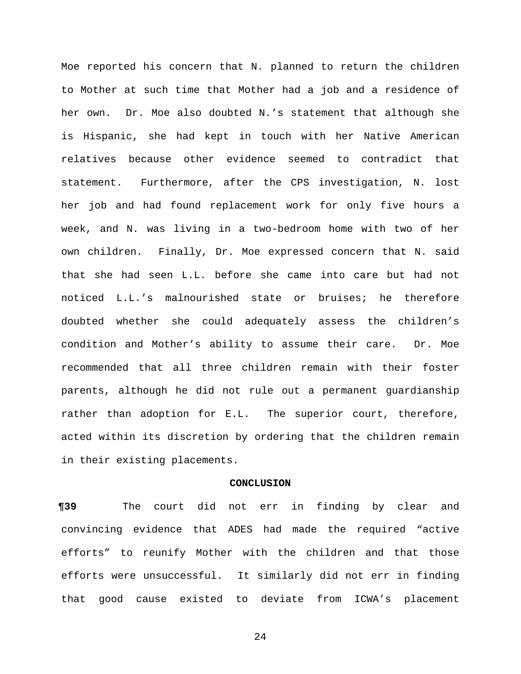Moe reported his concern that N. planned to return the children to Mother at such time that Mother had a job and a residence of her own. Dr. Moe also doubted N.'s statement that although she is Hispanic, she had kept in touch with her Native American relatives because other evidence seemed to contradict that statement. Furthermore, after the CPS investigation, N. lost her job and had found replacement work for only five hours a week, and N. was living in a two-bedroom home with two of her own children. Finally, Dr. Moe expressed concern that N. said that she had seen L.L. before she came into care but had not noticed L.L.'s malnourished state or bruises; he therefore doubted whether she could adequately assess the children's condition and Mother's ability to assume their care. Dr. Moe recommended that all three children remain with their foster parents, although he did not rule out a permanent guardianship rather than adoption for E.L. The superior court, therefore, acted within its discretion by ordering that the children remain in their existing placements.

#### **CONCLUSION**

**¶39** The court did not err in finding by clear and convincing evidence that ADES had made the required "active efforts" to reunify Mother with the children and that those efforts were unsuccessful. It similarly did not err in finding that good cause existed to deviate from ICWA's placement